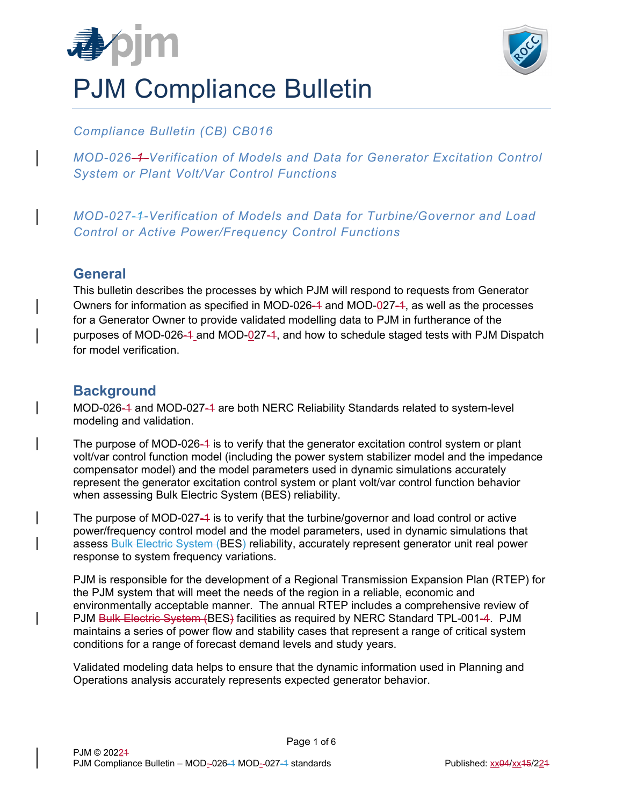



## *Compliance Bulletin (CB) CB016*

*MOD-026-1-Verification of Models and Data for Generator Excitation Control System or Plant Volt/Var Control Functions* 

*MOD-027-1-Verification of Models and Data for Turbine/Governor and Load Control or Active Power/Frequency Control Functions* 

### **General**

This bulletin describes the processes by which PJM will respond to requests from Generator Owners for information as specified in MOD-026-4 and MOD-027-4, as well as the processes for a Generator Owner to provide validated modelling data to PJM in furtherance of the purposes of MOD-026-4 and MOD-027-4, and how to schedule staged tests with PJM Dispatch for model verification.

# **Background**

MOD-026-1 and MOD-027-1 are both NERC Reliability Standards related to system-level modeling and validation.

The purpose of MOD-026-4 is to verify that the generator excitation control system or plant volt/var control function model (including the power system stabilizer model and the impedance compensator model) and the model parameters used in dynamic simulations accurately represent the generator excitation control system or plant volt/var control function behavior when assessing Bulk Electric System (BES) reliability.

The purpose of MOD-027-1 is to verify that the turbine/governor and load control or active power/frequency control model and the model parameters, used in dynamic simulations that assess **Bulk Electric System (BES) reliability**, accurately represent generator unit real power response to system frequency variations.

PJM is responsible for the development of a Regional Transmission Expansion Plan (RTEP) for the PJM system that will meet the needs of the region in a reliable, economic and environmentally acceptable manner. The annual RTEP includes a comprehensive review of PJM Bulk Electric System (BES) facilities as required by NERC Standard TPL-001-4. PJM maintains a series of power flow and stability cases that represent a range of critical system conditions for a range of forecast demand levels and study years.

Validated modeling data helps to ensure that the dynamic information used in Planning and Operations analysis accurately represents expected generator behavior.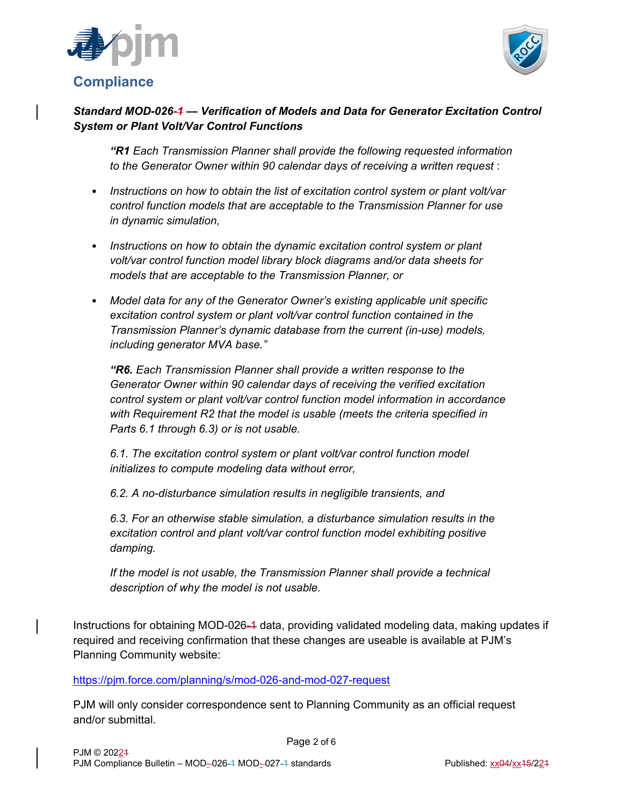



### *Standard MOD-026-1 — Verification of Models and Data for Generator Excitation Control System or Plant Volt/Var Control Functions*

*"R1 Each Transmission Planner shall provide the following requested information to the Generator Owner within 90 calendar days of receiving a written request* :

- *Instructions on how to obtain the list of excitation control system or plant volt/var control function models that are acceptable to the Transmission Planner for use in dynamic simulation,*
- *Instructions on how to obtain the dynamic excitation control system or plant volt/var control function model library block diagrams and/or data sheets for models that are acceptable to the Transmission Planner, or*
- *Model data for any of the Generator Owner's existing applicable unit specific excitation control system or plant volt/var control function contained in the Transmission Planner's dynamic database from the current (in-use) models, including generator MVA base."*

*"R6. Each Transmission Planner shall provide a written response to the Generator Owner within 90 calendar days of receiving the verified excitation control system or plant volt/var control function model information in accordance with Requirement R2 that the model is usable (meets the criteria specified in Parts 6.1 through 6.3) or is not usable.* 

*6.1. The excitation control system or plant volt/var control function model initializes to compute modeling data without error,* 

*6.2. A no-disturbance simulation results in negligible transients, and* 

*6.3. For an otherwise stable simulation, a disturbance simulation results in the excitation control and plant volt/var control function model exhibiting positive damping.* 

*If the model is not usable, the Transmission Planner shall provide a technical description of why the model is not usable.* 

Instructions for obtaining MOD-026-1 data, providing validated modeling data, making updates if required and receiving confirmation that these changes are useable is available at PJM's Planning Community website:

https://pjm.force.com/planning/s/mod-026-and-mod-027-request

PJM will only consider correspondence sent to Planning Community as an official request and/or submittal.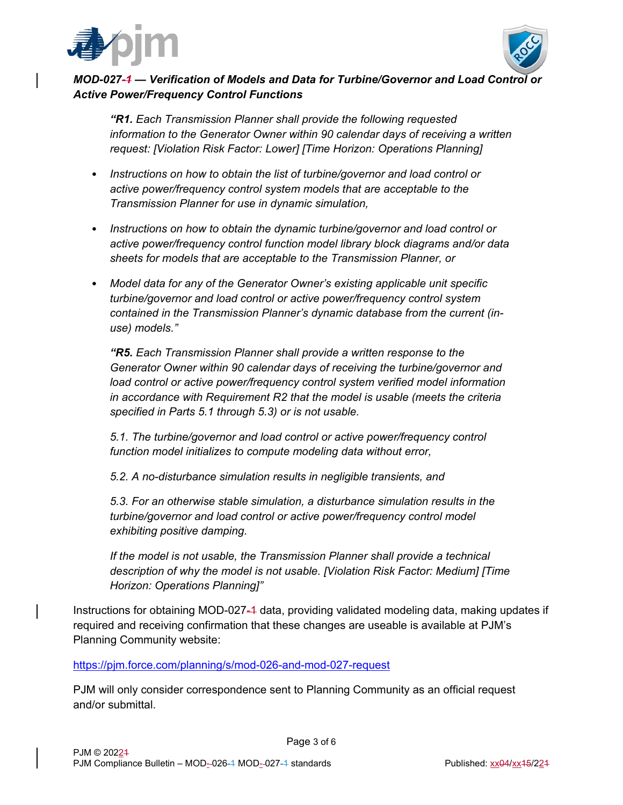



#### *MOD-027-1 — Verification of Models and Data for Turbine/Governor and Load Control or Active Power/Frequency Control Functions*

*"R1. Each Transmission Planner shall provide the following requested information to the Generator Owner within 90 calendar days of receiving a written request: [Violation Risk Factor: Lower] [Time Horizon: Operations Planning]* 

- *Instructions on how to obtain the list of turbine/governor and load control or active power/frequency control system models that are acceptable to the Transmission Planner for use in dynamic simulation,*
- *Instructions on how to obtain the dynamic turbine/governor and load control or active power/frequency control function model library block diagrams and/or data sheets for models that are acceptable to the Transmission Planner, or*
- *Model data for any of the Generator Owner's existing applicable unit specific turbine/governor and load control or active power/frequency control system contained in the Transmission Planner's dynamic database from the current (inuse) models."*

*"R5. Each Transmission Planner shall provide a written response to the Generator Owner within 90 calendar days of receiving the turbine/governor and*  load control or active power/frequency control system verified model information *in accordance with Requirement R2 that the model is usable (meets the criteria specified in Parts 5.1 through 5.3) or is not usable.* 

*5.1. The turbine/governor and load control or active power/frequency control function model initializes to compute modeling data without error,* 

*5.2. A no-disturbance simulation results in negligible transients, and* 

*5.3. For an otherwise stable simulation, a disturbance simulation results in the turbine/governor and load control or active power/frequency control model exhibiting positive damping.* 

*If the model is not usable, the Transmission Planner shall provide a technical description of why the model is not usable. [Violation Risk Factor: Medium] [Time Horizon: Operations Planning]"* 

Instructions for obtaining MOD-027-4 data, providing validated modeling data, making updates if required and receiving confirmation that these changes are useable is available at PJM's Planning Community website:

https://pjm.force.com/planning/s/mod-026-and-mod-027-request

PJM will only consider correspondence sent to Planning Community as an official request and/or submittal.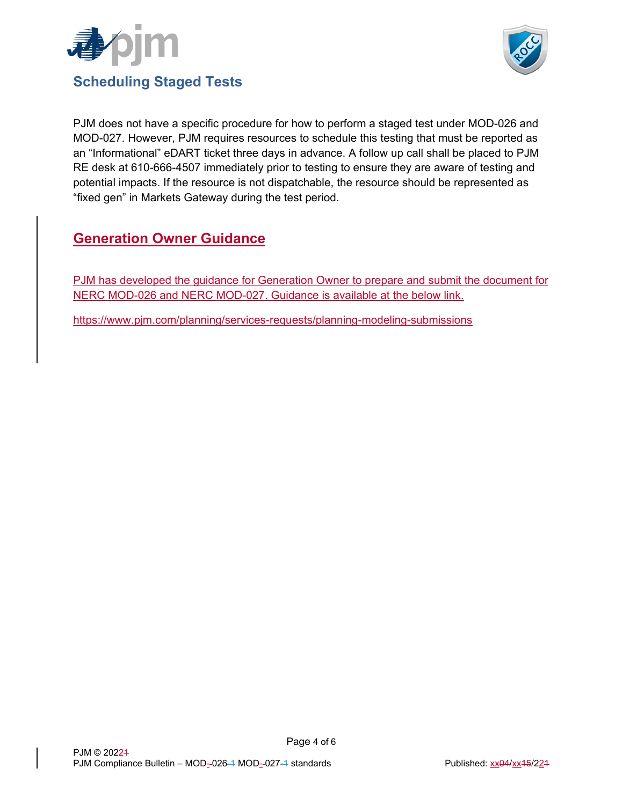



PJM does not have a specific procedure for how to perform a staged test under MOD-026 and MOD-027. However, PJM requires resources to schedule this testing that must be reported as an "Informational" eDART ticket three days in advance. A follow up call shall be placed to PJM RE desk at 610-666-4507 immediately prior to testing to ensure they are aware of testing and potential impacts. If the resource is not dispatchable, the resource should be represented as "fixed gen" in Markets Gateway during the test period.

# **Generation Owner Guidance**

PJM has developed the guidance for Generation Owner to prepare and submit the document for NERC MOD-026 and NERC MOD-027. Guidance is available at the below link.

https://www.pjm.com/planning/services-requests/planning-modeling-submissions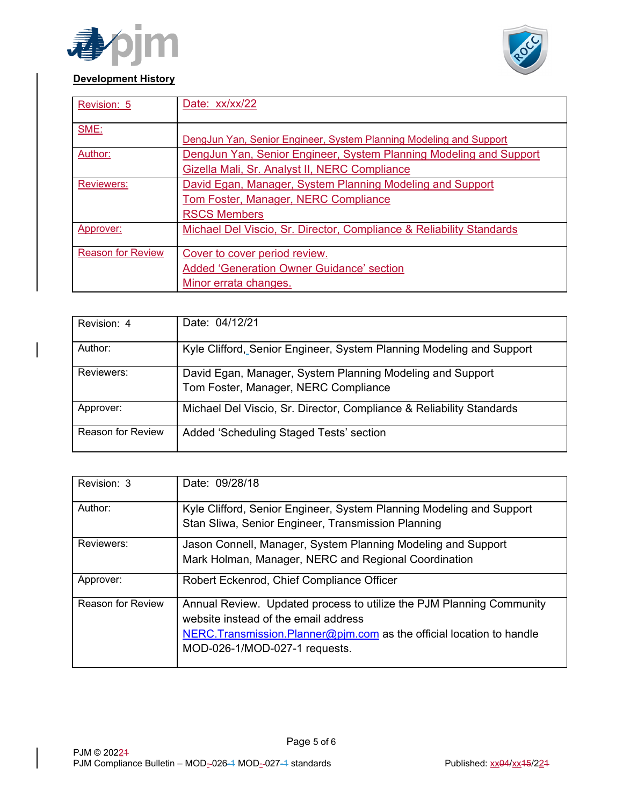



#### **Development History**

| Revision: 5              | Date: xx/xx/22                                                       |
|--------------------------|----------------------------------------------------------------------|
| SME:                     | DengJun Yan, Senior Engineer, System Planning Modeling and Support   |
| Author:                  | DengJun Yan, Senior Engineer, System Planning Modeling and Support   |
|                          | Gizella Mali, Sr. Analyst II, NERC Compliance                        |
| <b>Reviewers:</b>        | David Egan, Manager, System Planning Modeling and Support            |
|                          | Tom Foster, Manager, NERC Compliance                                 |
|                          | <b>RSCS Members</b>                                                  |
| Approver:                | Michael Del Viscio, Sr. Director, Compliance & Reliability Standards |
| <b>Reason for Review</b> | Cover to cover period review.                                        |
|                          | <b>Added 'Generation Owner Guidance' section</b>                     |
|                          | Minor errata changes.                                                |

| Revision: 4              | Date: 04/12/21                                                                                    |
|--------------------------|---------------------------------------------------------------------------------------------------|
| Author:                  | Kyle Clifford, Senior Engineer, System Planning Modeling and Support                              |
| Reviewers:               | David Egan, Manager, System Planning Modeling and Support<br>Tom Foster, Manager, NERC Compliance |
| Approver:                | Michael Del Viscio, Sr. Director, Compliance & Reliability Standards                              |
| <b>Reason for Review</b> | Added 'Scheduling Staged Tests' section                                                           |

| Revision: 3              | Date: 09/28/18                                                                                                                                                                                                          |
|--------------------------|-------------------------------------------------------------------------------------------------------------------------------------------------------------------------------------------------------------------------|
| Author:                  | Kyle Clifford, Senior Engineer, System Planning Modeling and Support<br>Stan Sliwa, Senior Engineer, Transmission Planning                                                                                              |
| Reviewers:               | Jason Connell, Manager, System Planning Modeling and Support<br>Mark Holman, Manager, NERC and Regional Coordination                                                                                                    |
| Approver:                | Robert Eckenrod, Chief Compliance Officer                                                                                                                                                                               |
| <b>Reason for Review</b> | Annual Review. Updated process to utilize the PJM Planning Community<br>website instead of the email address<br>NERC. Transmission. Planner@pim.com as the official location to handle<br>MOD-026-1/MOD-027-1 requests. |